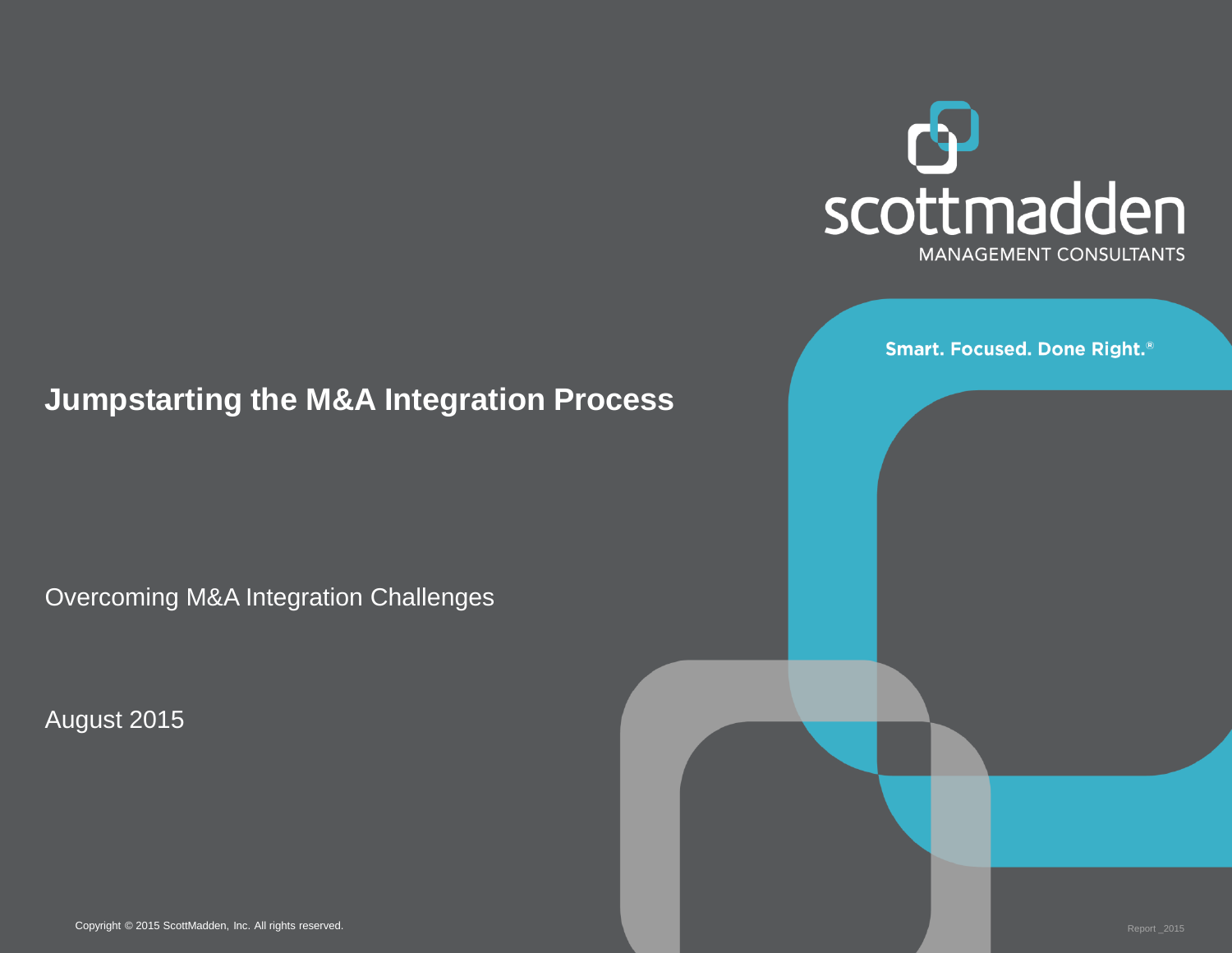

**Smart. Focused. Done Right.**®

## **Jumpstarting the M&A Integration Process**

Overcoming M&A Integration Challenges

August 2015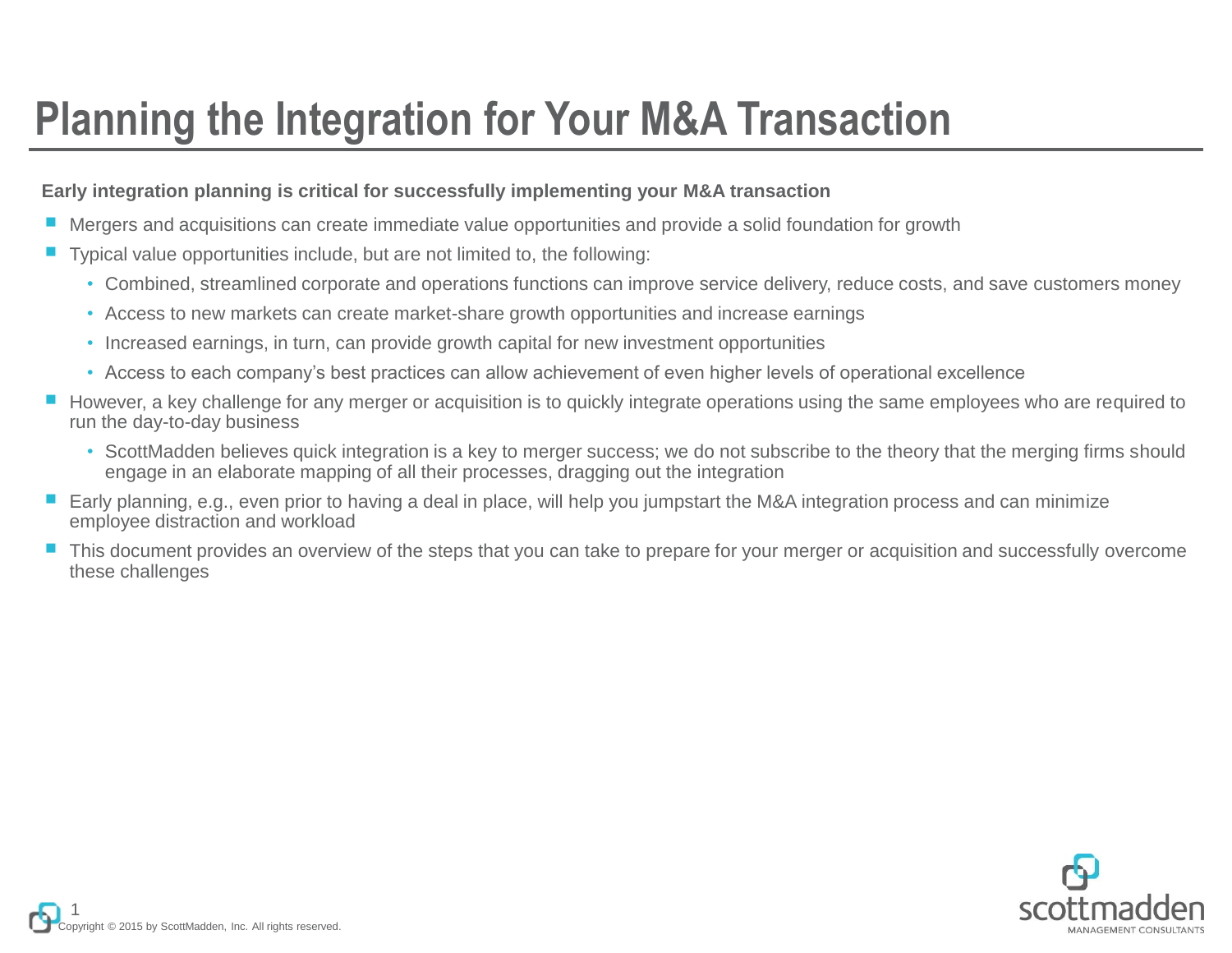# **Planning the Integration for Your M&A Transaction**

### **Early integration planning is critical for successfully implementing your M&A transaction**

- Mergers and acquisitions can create immediate value opportunities and provide a solid foundation for growth
- Typical value opportunities include, but are not limited to, the following:
	- Combined, streamlined corporate and operations functions can improve service delivery, reduce costs, and save customers money
	- Access to new markets can create market-share growth opportunities and increase earnings
	- Increased earnings, in turn, can provide growth capital for new investment opportunities
	- Access to each company's best practices can allow achievement of even higher levels of operational excellence
- However, a key challenge for any merger or acquisition is to quickly integrate operations using the same employees who are required to run the day-to-day business
	- ScottMadden believes quick integration is a key to merger success; we do not subscribe to the theory that the merging firms should engage in an elaborate mapping of all their processes, dragging out the integration
- Early planning, e.g., even prior to having a deal in place, will help you jumpstart the M&A integration process and can minimize employee distraction and workload
- This document provides an overview of the steps that you can take to prepare for your merger or acquisition and successfully overcome these challenges

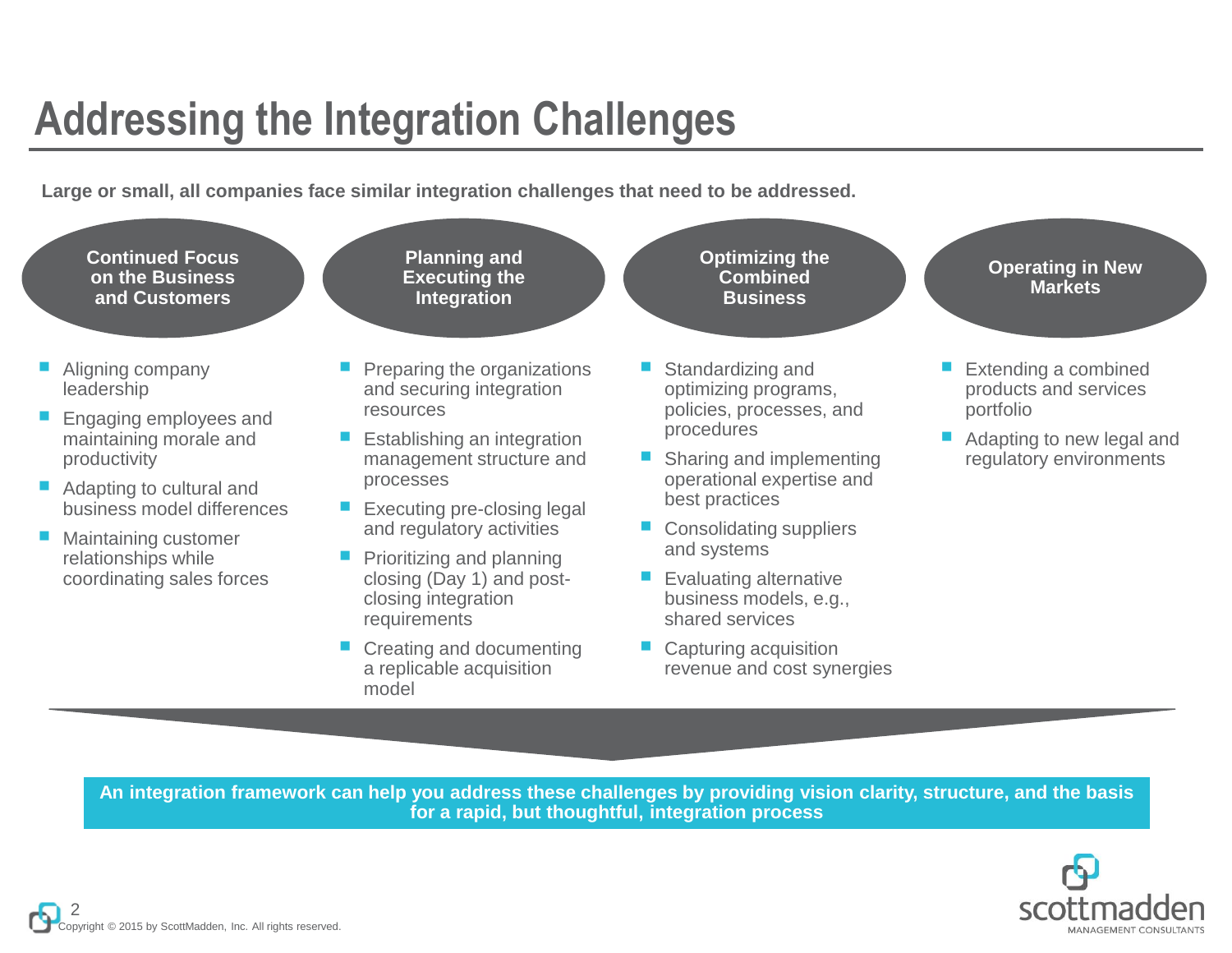# **Addressing the Integration Challenges**

**Large or small, all companies face similar integration challenges that need to be addressed.**

**Continued Focus on the Business and Customers**

- Aligning company leadership
- Engaging employees and maintaining morale and productivity
- Adapting to cultural and business model differences
- Maintaining customer relationships while coordinating sales forces

**Executing the Integration**

**Planning and** 

- **Preparing the organizations** and securing integration resources
- Establishing an integration management structure and processes
- **Executing pre-closing legal** and regulatory activities
- Prioritizing and planning closing (Day 1) and postclosing integration requirements
- Creating and documenting a replicable acquisition model

**Optimizing the Combined Business**

- Standardizing and optimizing programs, policies, processes, and procedures
- Sharing and implementing operational expertise and best practices
- Consolidating suppliers and systems
- **Evaluating alternative** business models, e.g., shared services
- Capturing acquisition revenue and cost synergies

**Operating in New Markets**

- Extending a combined products and services portfolio
- Adapting to new legal and regulatory environments

**An integration framework can help you address these challenges by providing vision clarity, structure, and the basis for a rapid, but thoughtful, integration process**



Copyright © 2015 by ScottMadden, Inc. All rights reserved. 2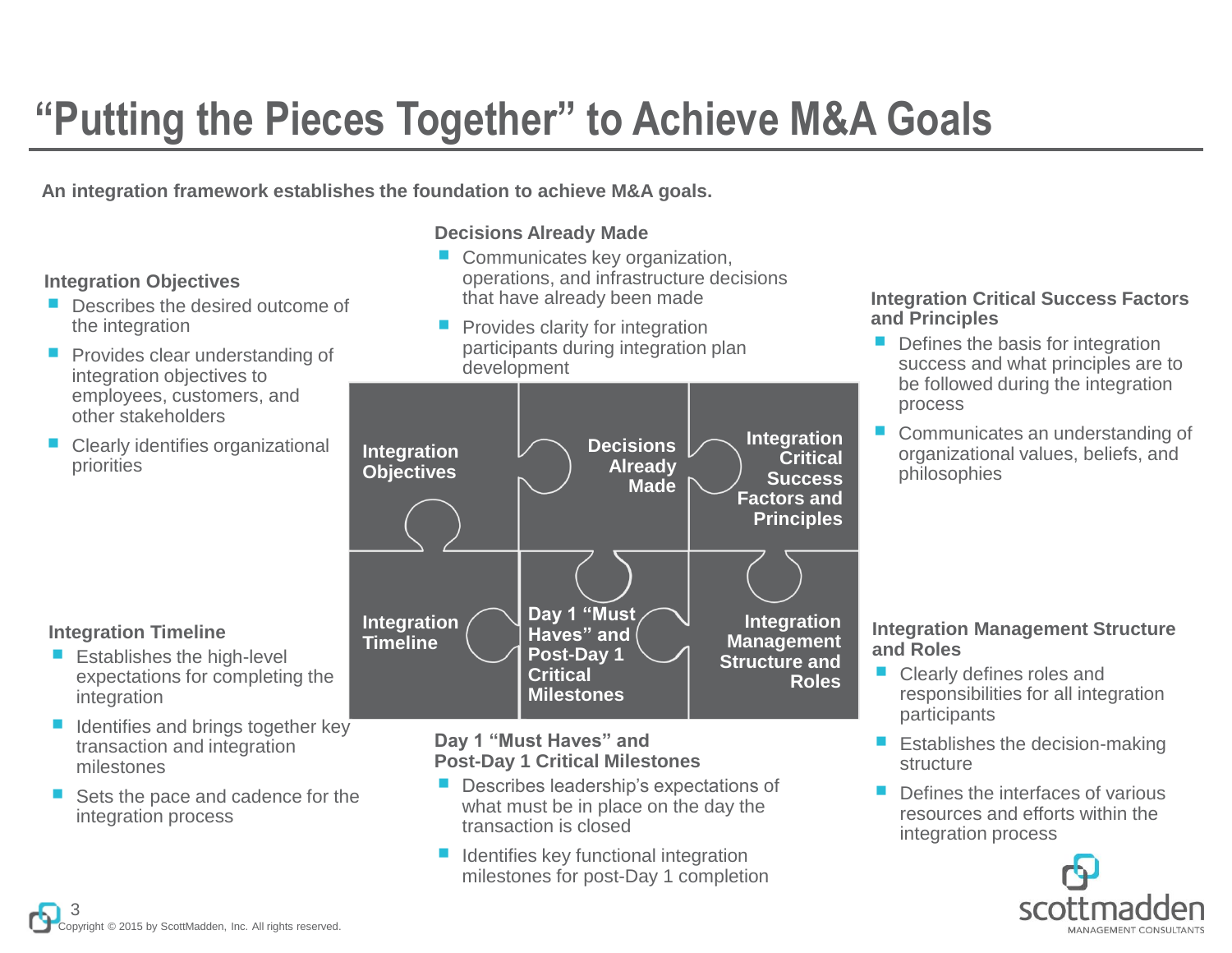# **"Putting the Pieces Together" to Achieve M&A Goals**

**An integration framework establishes the foundation to achieve M&A goals.**

### **Integration Objectives**

- Describes the desired outcome of the integration
- Provides clear understanding of integration objectives to employees, customers, and other stakeholders
- Clearly identifies organizational priorities

### **Integration Timeline**

- Establishes the high-level expectations for completing the integration
- Identifies and brings together key transaction and integration milestones
- Sets the pace and cadence for the integration process

## **Decisions Already Made**

- Communicates key organization, operations, and infrastructure decisions that have already been made
- Provides clarity for integration participants during integration plan development

#### **Decisions Already Made Timeline Day 1 "Must Haves" and Post-Day 1 Critical Milestones Integration Management Structure and Roles Integration Critical Success Factors and Principles**

### **Day 1 "Must Haves" and Post-Day 1 Critical Milestones**

- Describes leadership's expectations of what must be in place on the day the transaction is closed
- Identifies key functional integration milestones for post-Day 1 completion

### **Integration Critical Success Factors and Principles**

- Defines the basis for integration success and what principles are to be followed during the integration process
- Communicates an understanding of organizational values, beliefs, and philosophies

#### **Integration Management Structure and Roles**

- Clearly defines roles and responsibilities for all integration participants
- **Establishes the decision-making** structure
- Defines the interfaces of various resources and efforts within the integration process





#### Copyright © 2015 by ScottMadden, Inc. All rights reserved. 3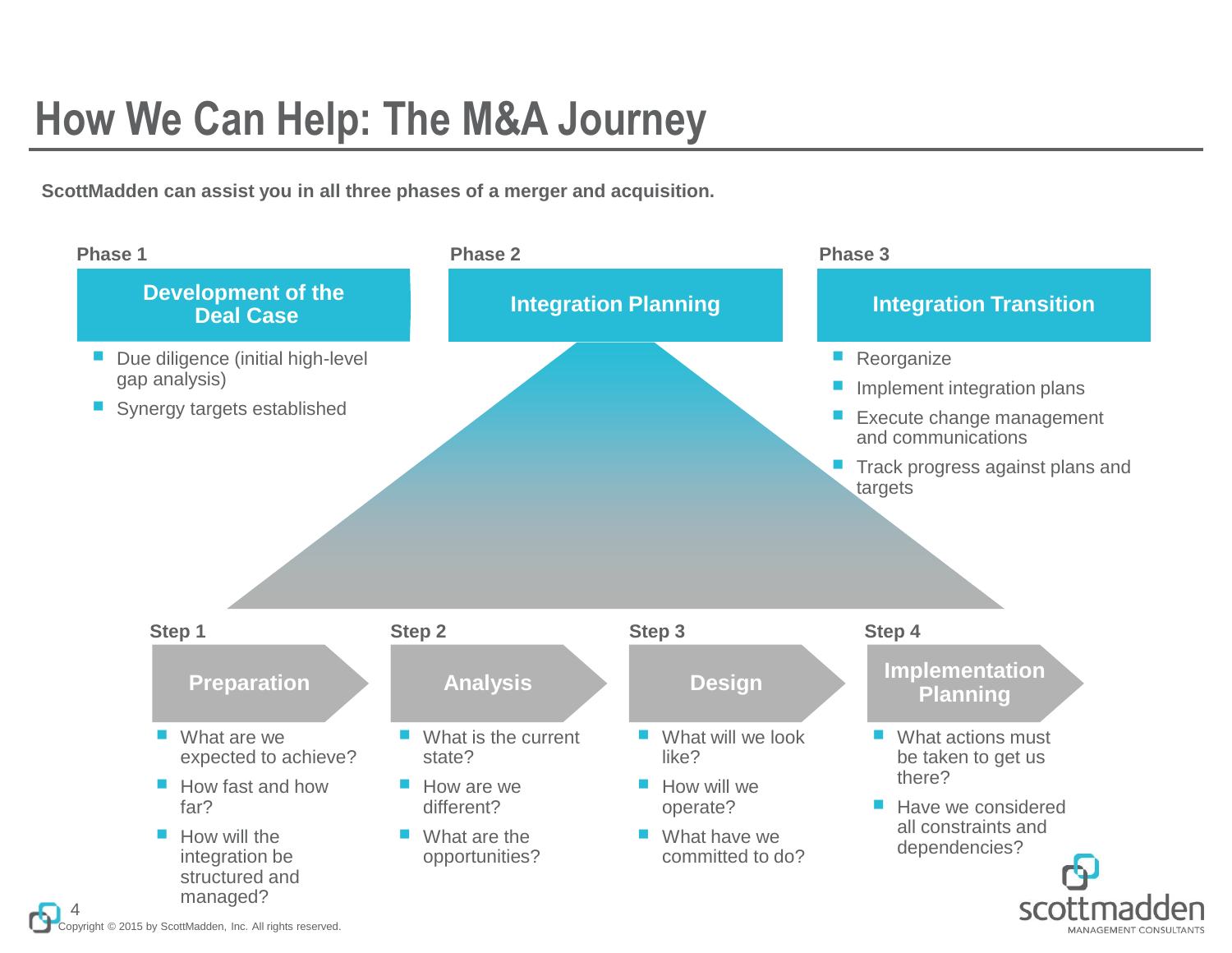# **How We Can Help: The M&A Journey**

**ScottMadden can assist you in all three phases of a merger and acquisition.**



Copyright © 2015 by ScottMadden, Inc. All rights reserved.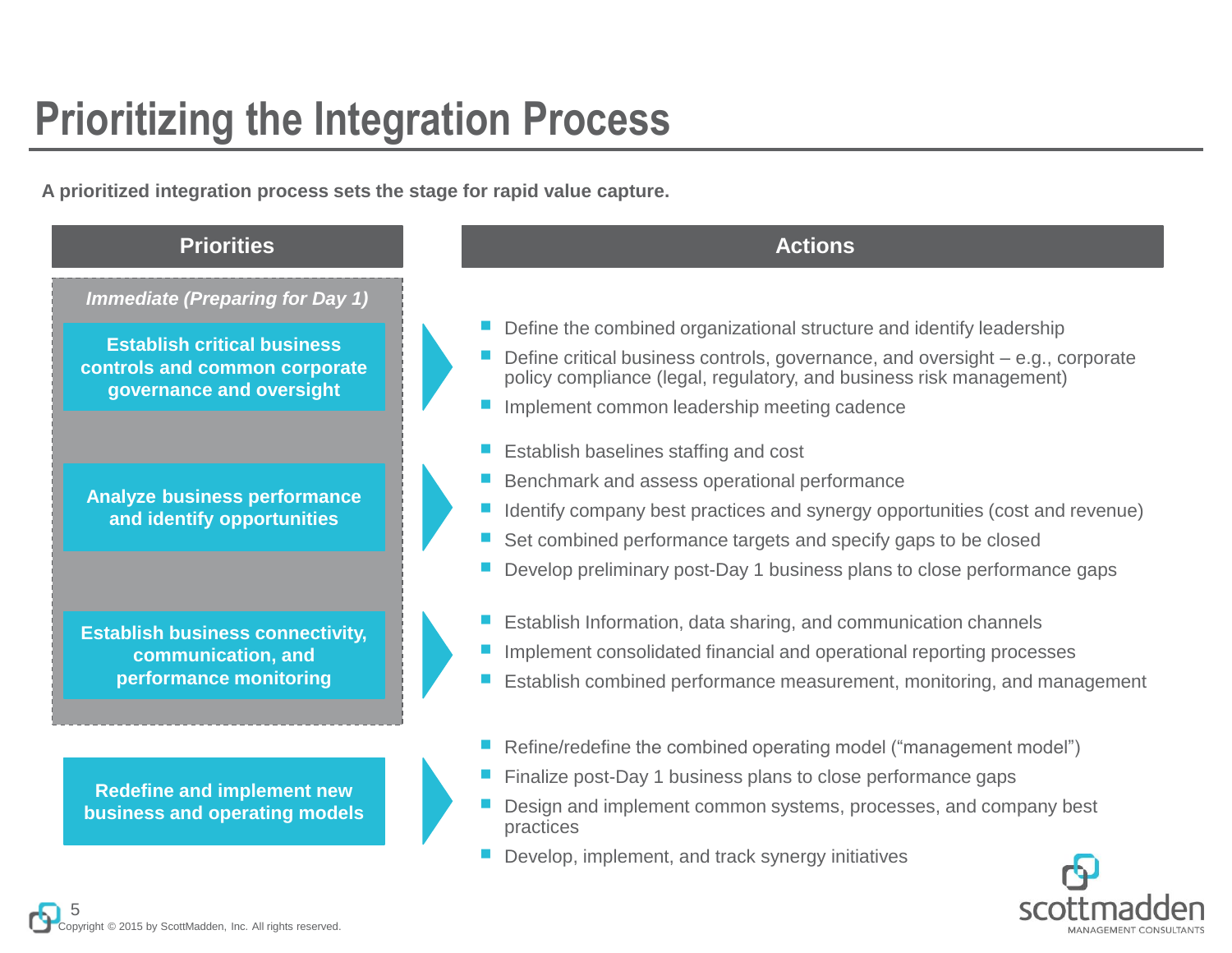# **Prioritizing the Integration Process**

**A prioritized integration process sets the stage for rapid value capture.**

### **Priorities**

*Immediate (Preparing for Day 1)*

**Establish critical business controls and common corporate governance and oversight**

**Analyze business performance and identify opportunities** 

**Establish business connectivity, communication, and performance monitoring**

**Redefine and implement new business and operating models**

| <b>Actions</b>                                                                                                                                        |
|-------------------------------------------------------------------------------------------------------------------------------------------------------|
|                                                                                                                                                       |
| Define the combined organizational structure and identify leadership                                                                                  |
| Define critical business controls, governance, and oversight – e.g., corporate<br>policy compliance (legal, regulatory, and business risk management) |
| Implement common leadership meeting cadence                                                                                                           |
| Establish baselines staffing and cost                                                                                                                 |
| Benchmark and assess operational performance                                                                                                          |
| Identify company best practices and synergy opportunities (cost and revenue)                                                                          |
| Set combined performance targets and specify gaps to be closed                                                                                        |
| Develop preliminary post-Day 1 business plans to close performance gaps                                                                               |
| Establish Information, data sharing, and communication channels                                                                                       |
| Implement consolidated financial and operational reporting processes                                                                                  |
| Establish combined performance measurement, monitoring, and management                                                                                |
| Refine/redefine the combined operating model ("management model")                                                                                     |
| Finalize post-Day 1 business plans to close performance gaps                                                                                          |
| Design and implement common systems, processes, and company best<br>practices                                                                         |

■ Develop, implement, and track synergy initiatives

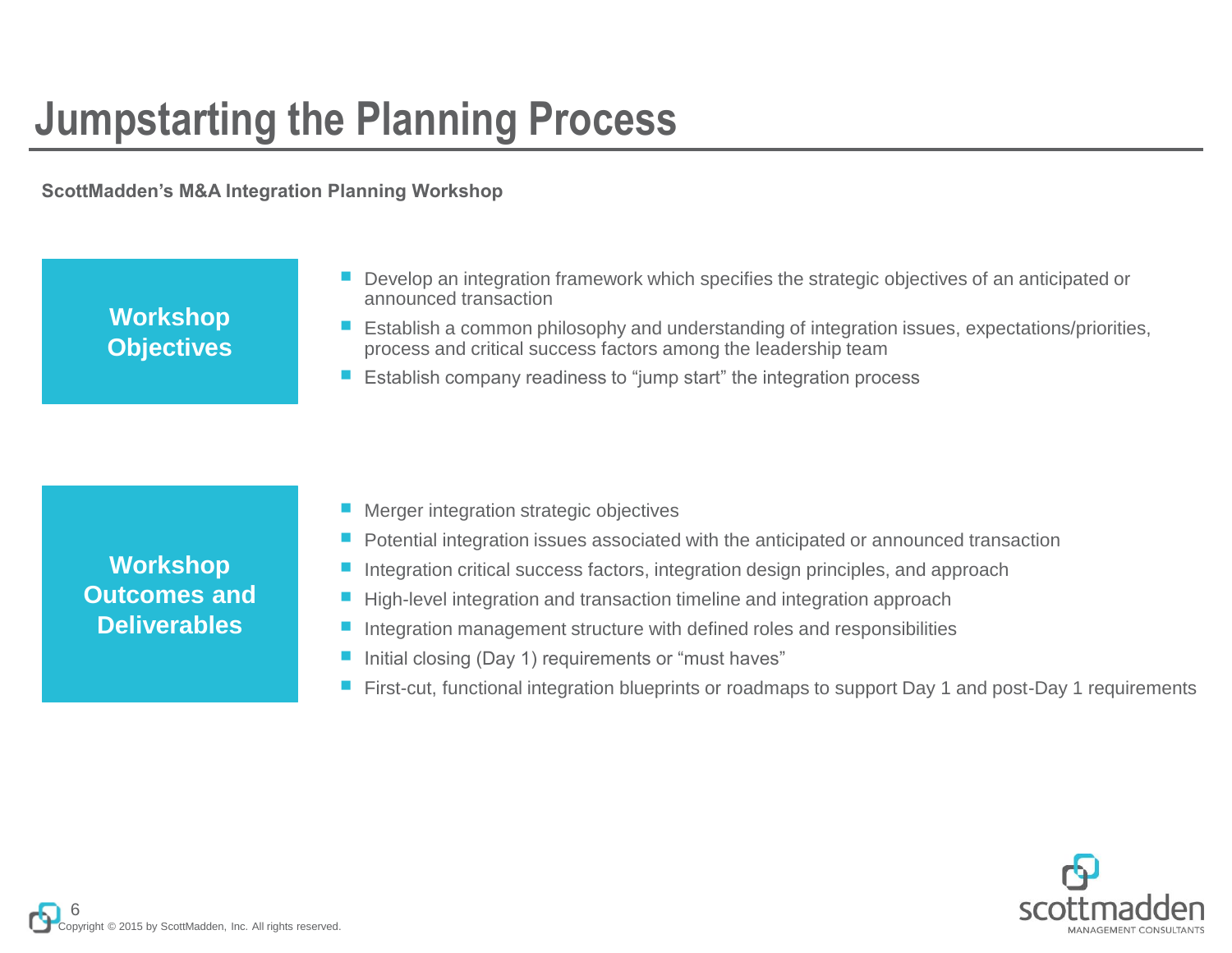# **Jumpstarting the Planning Process**

**ScottMadden's M&A Integration Planning Workshop**

### **Workshop Objectives**

- Develop an integration framework which specifies the strategic objectives of an anticipated or announced transaction
- Establish a common philosophy and understanding of integration issues, expectations/priorities, process and critical success factors among the leadership team
- Establish company readiness to "jump start" the integration process

**Workshop Outcomes and Deliverables**

- Merger integration strategic objectives
- Potential integration issues associated with the anticipated or announced transaction
- Integration critical success factors, integration design principles, and approach
- High-level integration and transaction timeline and integration approach
- Integration management structure with defined roles and responsibilities
- Initial closing (Day 1) requirements or "must haves"
- First-cut, functional integration blueprints or roadmaps to support Day 1 and post-Day 1 requirements

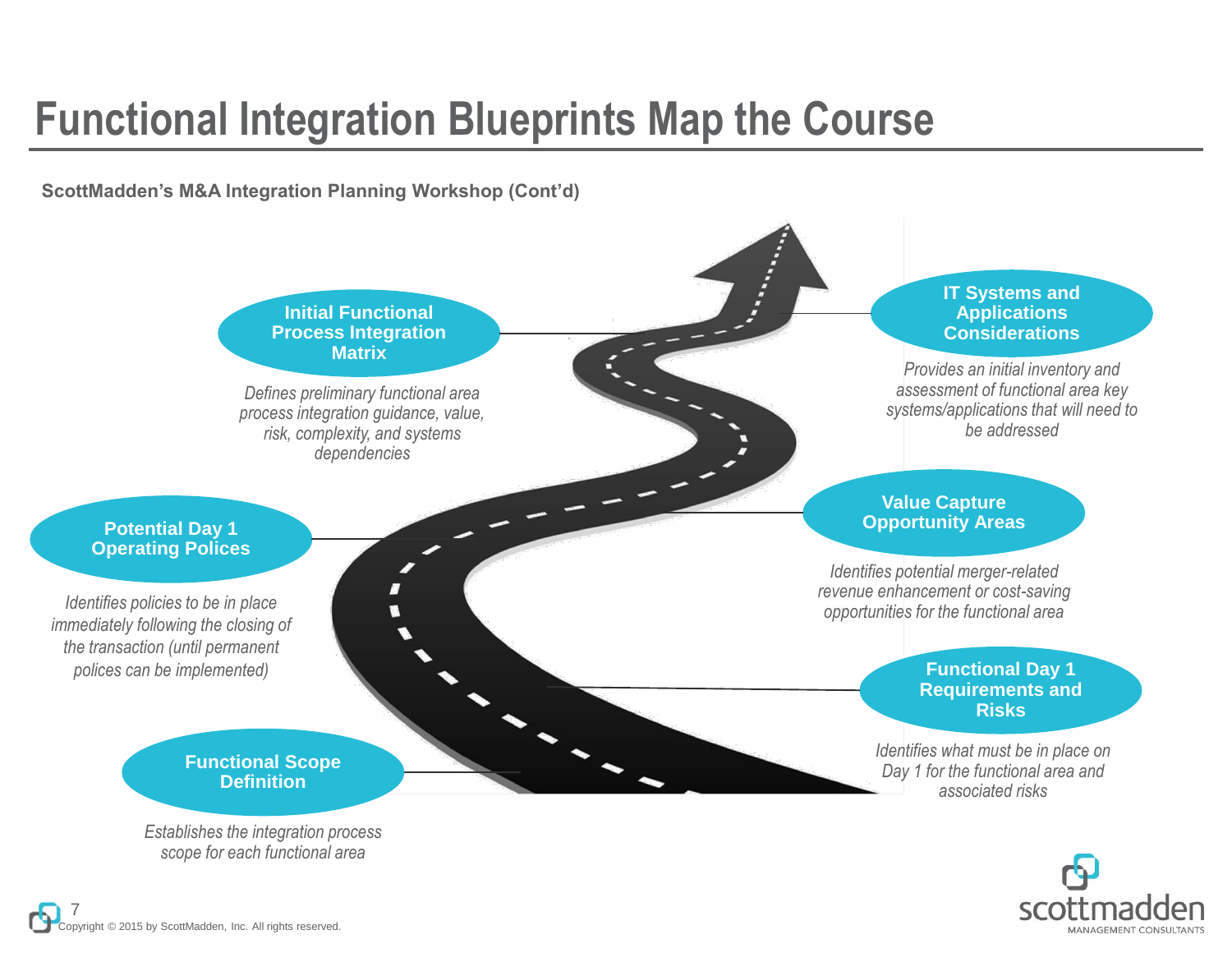## **Functional Integration Blueprints Map the Course**

**ScottMadden's M&A Integration Planning Workshop (Cont'd)**